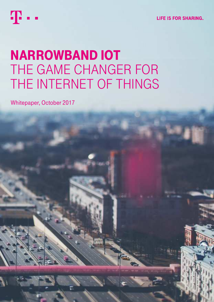

**LIFE IS FOR SHARING.** 

# NARROWBAND IOT THE GAME CHANGER FOR THE INTERNET OF THINGS

Whitepaper, October 2017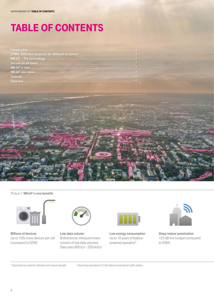# TABle Of CONTeNTs



### Picture 1: NB-IoT's core benefits



Billions of devices Up to 100x more devices per cell (compared to GSM)



Low data volume Bidirectional, infrequent transmission of low data volumes. Data rates  $600 b/s - 250 kbit/s<sup>1</sup>$ 



Low energy consumption Up to 10 years of batterypowered operation<sup>2</sup>



Deep indoor penetration +20 dB link budget (compared to GSM)

<sup>1</sup> Dependent on network utilization and signal strength  $10^{2}$  Assuming equivalent of 2 AA batteries and typical traffic pattern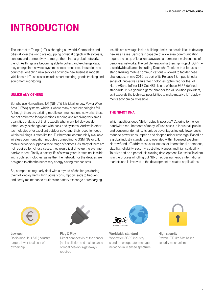## INTRODUCTION

The Internet of Things (IoT) is changing our world. Companies and cities all over the world are equipping physical objects with software, sensors and connectivity to merge them into a global network, the IoT. As things are becoming able to collect and exchange data, they emerge into new ecosystems across processes, industries and countries, enabling new services or whole new business models. Well-known IoT use cases include smart metering, goods tracking and equipment monitoring.

### UNlIke ANy OTheRs

But why use NarrowBand IoT (NB-IoT)? It is ideal for Low Power Wide Area (LPWA) systems, which is where many other technologies fail. Although there are existing mobile communications networks, these are not optimized for applications sending and receiving very small quantities of data. But that is exactly what many IoT devices do: infrequently exchange data with back-end systems. And while other technologies offer excellent outdoor coverage, their reception deep within buildings is often limited. Furthermore, commercially available wireless communication modules connecting to GSM, 3G or LTE mobile networks support a wide range of services. As many of them are not required for IoT use cases, they would just drive up the average hardware cost. Finally, a battery life of several years is often not feasible with such technologies, as neither the network nor the devices are designed to offer the necessary energy-saving mechanisms.

So, companies regularly deal with a myriad of challenges during their IoT deployments: high power consumption leads to frequent and costly maintenance routines for battery exchange or recharging. Insufficient coverage inside buildings limits the possibilities to develop new use cases. Sensors incapable of wide area communication require the setup of local gateways and a permanent maintenance of peripheral networks. The 3rd Generation Partnership Project (3GPP) – a worldwide alliance including Deutsche Telekom that focuses on standardizing mobile communications – vowed to tackle these challenges. In mid-2016, as part of its Release 13, it published a series of innovative cellular technologies optimized for the IoT. NarrowBand IoT (or LTE Cat-NB1) is one of these 3GPP-defined standards. It is a genuine game changer for IoT solution providers, as it expands the technical possibilities to make massive IoT deployments economically feasible.

### The NB-IOT DNA

Which qualities does NB-IoT actually possess? Catering to the low bandwidth requirements of many IoT use cases in industrial, public and consumer domains, its unique advantages include lower costs, reduced power consumption and deeper indoor coverage. Based on a global industry standard and operated within licensed spectrum, NarrowBand IoT addresses users' needs for international operations, stability, reliability, security, cost-effectiveness and high scalability. To drive and be a part of this exciting development, Deutsche Telekom is in the process of rolling out NB-IoT across numerous international markets and is involved in the development of related applications.



Low cost Radio module < 5 \$ (industry target), lower total cost of ownership



Plug & Play Direct connectivity of the sensor (no installation and maintenance of local networks /gateways required)



Worldwide standard Worldwide 3GPP industry standard on operator-managed networks in licensed spectrum



High security Proven LTE-like SIM-based security mechanisms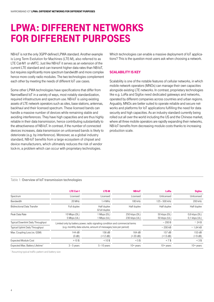## lPWA: DIffeReNT NeTWORks fOR DIffeReNT PURPOses

NB-IoT is not the only 3GPP-defined LPWA standard. Another example is Long Term Evolution for Machines (LTE-M), also referred to as LTE Cat-M1 or eMTC. Just like NB-IoT it serves as an extension of the current LTE standard and can transmit higher data rates than NB-IoT, but requires significantly more spectrum bandwidth and more complex hence more costly radio modules. The two technologies complement each other by meeting the needs of different IoT use cases.

Some other LPWA technologies have specifications that differ from NarrowBand IoT in a variety of ways, most notably standardization, required infrastructure and spectrum use. NB-IoT is using existing assets of LTE network operators such as sites, base stations, antennas, backhaul and their licensed spectrum. These licensed bands can handle a massive number of devices while remaining stable and avoiding interferences. They have high capacities and are thus highly reliable in their data transmission, hence contributing substantially to the attractiveness of NB-IoT. In contrast, if the number of connected devices increases, data transmission on unlicensed bands is likely to deteriorate (e.g. by interference). Moreover, as a global industry standard, NB-IoT benefits from a large ecosystem of chipset and device manufacturers, which ultimately reduces the risk of vendor lock-in, a problem which can occur with proprietary technologies.

Which technologies can enable a massive deployment of IoT applications? This is the question most users ask when choosing a network.

### sCAlABIlITy Is key

Scalability is one of the notable features of cellular networks, in which mobile network operators (MNOs) can manage their own capacities alongside existing LTE networks. In contrast, proprietary technologies like e.g. LoRa and Sigfox need dedicated gateways and networks, operated by different companies across countries and urban regions. Arguably, MNOs are better suited to operate reliable and secure networks and platforms for IoT applications fulfilling the need for data security and high capacities. As an industry standard currently being rolled out all over the world including the US and the Chinese market, where all three mobile operators are rapidly expanding their networks, NB-IoT benefits from decreasing module costs thanks to increasing production scale.

### Table 1: Overview of IoT transmission technologies

|                                             | <b>LTE Cat-1</b>                                                              | <b>LTE-M</b>                                                   | <b>NB-IoT</b>                  | <b>LoRa</b>                  | <b>Sigfox</b>                      |
|---------------------------------------------|-------------------------------------------------------------------------------|----------------------------------------------------------------|--------------------------------|------------------------------|------------------------------------|
| Spectrum                                    | Licensed                                                                      | Licensed                                                       | Licensed                       | Unlicensed                   | Unlicensed                         |
| Bandwidth                                   | 20 MHz                                                                        | 1.4 MHz                                                        | 180 kHz                        | 125 - 500 kHz                | 200 kHz                            |
| <b>Bidirectional Data Transfer</b>          | Full duplex                                                                   | Half duplex<br>& full duplex                                   | Half duplex                    | Half duplex                  | Half duplex                        |
| Peak Data Rate                              | 10 Mbps (DL)<br>5 Mbps (UL)                                                   | 1 Mbps (DL)<br>1 Mbps (UL)                                     | 250 kbps (DL)<br>230 kbps (UL) | 50 kbps (DL)<br>50 kbps (UL) | $0,6$ kbps (DL)<br>$0,1$ kbps (UL) |
| <b>Typical Downlink Daily Throughput</b>    | Limited only by battery power, radio signaling condition and commercial terms |                                                                | $\sim$ 200 B                   | $~\sim$ 24 B                 |                                    |
| <b>Typical Uplink Daily Throughput</b>      |                                                                               | (e.g. monthly data volume, amount of messages/size per period) | $\sim$ 200 kB                  | $~\sim$ 1,64 kB              |                                    |
| Max. Coupling Loss (vs. GSM)                | 144 dB<br>(0 dB)                                                              | 156 dB<br>$(+12 dB)$                                           | 164 dB<br>$(+20 dB)$           | 157 dB<br>$(+13 dB)$         | 153 dB<br>$(+9 dB)$                |
| <b>Expected Module Cost</b>                 | >10S                                                                          | $< 10$ \$                                                      | $< 5$ \$                       | $< 7$ \$                     | $<3$ \$                            |
| Expected Max. Battery Lifetime <sup>1</sup> | $3 - 5$ years                                                                 | $5 - 10$ years                                                 | $10+$ years                    | $10 + \text{years}$          | $10+$ years                        |

<sup>1</sup> Assuming typical traffic pattern and battery size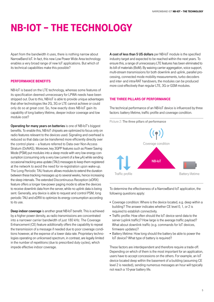# NB-IOT – The TeChNOlOgy

Apart from the bandwidth it uses, there is nothing narrow about NarrowBand IoT. In fact, this new Low Power Wide Area technology enables a very broad range of new IoT applications. But which of its technical capabilities make this possible?

### PeRfORmANCe BeNefITs

NB-IoT is based on the LTE technology, whereas some features of its specification deemed unnecessary for LPWA needs have been stripped out. Due to this, NB-IoT is able to provide unique advantages that other technologies like 2G, 3G or LTE cannot achieve or could only do so at great cost. So, how exactly does NB-IoT gain its capability of long battery lifetime, deeper indoor coverage and low module cost?

Operating for many years on batteries is one of NB-IoT's biggest benefits. To enable this, NB-IoT chipsets are optimized to focus only on radio features relevant to the devices used. Signaling and overhead is reduced so that data can be transferred more efficiently directly over the control plane – a feature referred to Data over Non-Access Stratum (DoNAS). Moreover, key 3GPP features such as Power Saving Mode (PSM) put modules into a sleep mode with very low energy consumption (consuming only a very low current of a few μA) while sending occasional tracking area update (TAU) messages to keep them registered at the network to avoid the need for re-registration upon wake-up. The Long Periodic TAU feature allows modules to extend the duration between these tracking messages up to several weeks, hence increasing the sleep intervals. The extended Discontinuous Reception (eDRX) feature offers a longer low-power paging mode to allow the devices to receive downlink data from the server, while no uplink data is being sent. Generally, any device is able to request and control PSM, long periodic TAU and eDRX to optimize its energy consumption according to its use.

Deep indoor coverage is another great NB-IoT benefit. This is achieved by a higher power density, as radio transmissions are concentrated into a narrower carrier bandwidth of just 180 kHz. The Coverage Enhancement (CE) feature additionally offers the capability to repeat the transmission of a message if needed due to poor coverage conditions however, at the expense of a lower data rate. Proprietary technologies operating on unlicensed spectrum, in contrast, are legally limited in the number of repetitions (due to prescribed duty cycles), which impede effective indoor coverage.

A cost of less than 5 US dollars per NB-IoT module is the specified industry target and expected to be reached within the next years. To ensure this, a range of unnecessary LTE features has been eliminated to its bill of materials (BoM). By waiving carrier aggregation, voice support, multi-stream transmissions for both downlink and uplink, parallel processing, connected mode mobility measurements, turbo decoders and inter- and intra-RAT handovers, the modules can be produced more cost-effectively than regular LTE, 3G or GSM modules.

### The ThRee PIllARs Of PeRfORmANCe

The technical performance of an NB-IoT device is influenced by three factors: battery lifetime, traffic profile and coverage condition.



To determine the effectiveness of a NarrowBand IoT application, the following questions apply:

- ¡ Coverage condition: Where is the device located, e.g. deep within a building? The answer indicates whether CE level 0, 1, or 2 is required to establish connectivity.
- Traffic profile: How often should the IoT device send data to the server (uplink traffic)? How large is the average traffic payload? What about downlink traffic (e.g. commands for IoT devices, firmware updates)?
- Battery lifetime: How long should the battery be able to power the IoT device? What type of battery is required?

These factors are interdependent and therefore require a trade-off. Depending on which of them is the most important for an application, users have to accept concessions on the others. For example, an IoT device located deep within the basement of a building (assuming CE level 2 is needed), sending numerous messages an hour will typically not reach a 10-year battery life.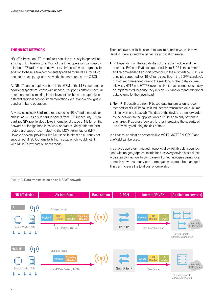### The NB-IOT NeTWORk

NB-IoT is based on LTE, therefore it can also be easily integrated into existing LTE infrastructure. Most of the time, operators can deploy it in their LTE radio access network by simple software upgrades. In addition to these, a few components specified by the 3GPP for NB-IoT need to be set up, e.g. core network elements such as the C-SGN.

As NB-IoT can be deployed both in the GSM or the LTE spectrum, no additional spectrum licenses are needed. It supports different spectral operation modes, making its deployment flexible and adaptable to different regional network implementations, e.g. stand-alone, guard band or in-band operation.

Any device using NB-IoT requires a specific NB-IoT radio module or chipset as well as a SIM card to benefit from LTE-like security. A standardized SIM profile also allows international usage of NB-IoT on the networks of foreign mobile network operators. Many different form factors are supported, including the M2M Form Factor (MFF). However, several providers like Deutsche Telekom do currently not support eSIM (eUICC) due to its high costs, which would not fit in with NB-IoT's low-cost business model.

Picture 3: Data transmission on an NB-IoT network

There are two possibilities for data transmission between Narrow-Band IoT devices and the respective application server:

- **1. IP:** Depending on the capabilities of the radio module and the operator, IPv4 and IPv6 are supported. Here, UDP is the common and recommended transport protocol. On the air interface, TCP is in principle supported for NB-IoT (and specified in the 3GPP standard), but not recommended due to the resulting higher data volume. Likewise, HTTP and HTTPS over the air interface cannot reasonably be implemented, because they rely on TCP and demand additional data volume for their overhead.
- 2. Non-IP: If possible, a non-IP based data transmission is recommended for NB-IoT because it reduces the transmitted data volume (since overhead is saved). The data of the device is then forwarded by the network to the application via IP. Data can only be sent to one target IP address (server), further increasing the security of the device by reducing the risk of fraud.

In all cases, application protocols like MQTT, MQTT-SN, COAP and oneM2M can be used.

In general, operator-managed networks allow reliable data connections with no geographical restrictions, as every device has a direct wide area connection. In comparison: For technologies using local or mesh networks, many peripheral gateways must be managed. This can increase the total cost of ownership.



### address supported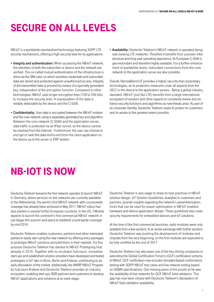## seCURe ON All levels

NB-IoT is a worldwide standardized technology featuring 3GPP LTE security mechanisms, offering a high security level for its applications.

- **Integrity and authentication:** When accessing the NB-IoT network, the identities of both the subscriber or device and the network are verified. This so-called mutual authentication of the infrastructure is done via the SIM card, on which sensitive credentials and subscriber data are stored and protected against unauthorized access. Integrity of the transmitted data is ensured by means of a specially generated key, independent of the encryption function. Compared to other technologies, NB-IoT uses longer encryption keys (128 to 256 bits) to increase the security level. A manipulation of the data is reliably detectable by the device and the C-SGN.
- Confidentiality: User data is encrypted between the NB-IoT modem and the core network using a separately generated key and algorithm. Between the core network (C-SGN) and the application server, data traffic is protected via an IPsec tunnel, so the device cannot be reached from the Internet. Furthermore, the user can choose to encrypt or hash the data end-to-end from the client application on the device up to the server or ERP system.

**- Availability:** Deutsche Telekom's NB-IoT network is operated alongside existing LTE networks. Therefore it benefits from a proven infrastructure and long year operating experience. Its European C-SGN is geo-redundant and therefore highly available. For a further enhancement of availability levels, redundant connections from the core network to the application server are also possible.

Overall, NarrowBand IoT provides a higher security than proprietary technologies, as its protection measures cover all aspects from the UICC in the device to the application servers. Being a global industry standard, NB-IoT (just like LTE) benefits from a large international ecosystem of vendors and other experts to constantly review and enhance security functions and algorithms as new threats arise. As part of its corporate identity, Deutsche Telekom seeks to protect its customers and its assets to the greatest extent possible.

## NB-IOT Is NOW

Deutsche Telekom became the first network operator to launch NB-IoT in Germany, where services on live networks are currently available. In the Netherlands, the world's first NB-IoT network with countrywide coverage has already been achieved in May 2017. NB-IoT rollout has also started in several further European countries. In the US, T-Mobile expects to launch the continent's first commercial NB-IoT network in Las Vegas this autumn and plans to establish countrywide coverage by mid-2018.

Deutsche Telekom enables customers, partners and other interested parties to easily start using the new network by offering entry packages to prototype NB-IoT solutions and pilot them in their markets. For this purpose Deutsche Telekom has started its NB-IoT Prototyping Hub already in 2016. Together with its incubator hub:raum, innovative start-ups and established solution providers have developed and tested prototypes in IoT labs in Bonn, Berlin and Krakow, contributing to an early stimulation of the market. Additionally, the WARP NB-IoT Program by hub:raum Krakow and Deutsche Telekom provides an industry ecosystem, enabling start-ups, B2B partners and customers to develop NB-IoT applications and solutions at an early stage.

Deutsche Telekom is also eager to share its best practices in NB-IoT solution design. IoT Solution Guidelines, available to customers and partners, provide insights regarding the network's parameterization, tricks that can be used for power optimization in NB-IoT enabled hardware and device application design. These guidelines also cover security requirements for embedded devices and IoT solutions.

At the time of the first commercial launches, radio modules were only available from a few vendors. In an active exchange with further vendors, Deutsche Telekom was pushing the development of modules and chipsets from the very beginning, so the first modules are expected to be fully certified by the end of 2017.

Deutsche Telekom has also been one of the key driving companies in extending the Global Certification Forum's (GCF) certification scheme to NB-IoT. GCF certification now includes simulator-based conformance testing with 3GPP NB-IoT test cases and live network testing based on GSMA specifications. One missing piece of the puzzle so far was the availability of live networks for GCF NB-IoT field validation. This gap has now been closed with Deutsche Telekom's declaration of NB-IoT field validation availability.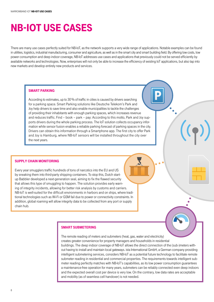## NB-IOT Use CAses

There are many use cases perfectly suited for NB-IoT, as the network supports a very wide range of applications. Notable examples can be found in utilities, logistics, industrial manufacturing, consumer and agriculture, as well as in the smart city and smart building field. By offering low costs, low power consumption and deep indoor coverage, NB-IoT addresses use cases and applications that previously could not be served efficiently by available networks and technologies. Now, enterprises will not only be able to increase the efficiency of existing IoT applications, but also tap into new markets and develop entirely new products and services.

### smART PARkINg

According to estimates, up to 30 % of traffic in cities is caused by drivers searching for a parking space. Smart Parking solutions like Deutsche Telekom's Park and Joy help drivers to save time and also enable municipalities to tackle the challenges of providing their inhabitants with enough parking spaces, which increases revenue and reduces traffic. Find – book – park – pay: According to this motto, Park and Joy supports drivers during the whole parking process. The IoT solution collects occupancy information while sensor fusion enables a reliable parking forecast of parking spaces in the city. Drivers can obtain this information through a Smartphone app. The first city to offer Park and Joy is Hamburg, where NB-IoT sensors will be installed throughout the city over the next years.

### sUPPly ChAIN mONITORINg

Every year smugglers traffic hundreds of tons of narcotics into the EU and US by sneaking them into third-party shipping containers. To stop this, Dutch startup Babbler developed a next-generation seal, aiming to fix the flawed security that allows this type of smuggling to happen. The solution provides early warning of integrity incidents, allowing for better risk analysis by customs and carriers. NB-IoT is well-suited for the difficult environments in harbors and on ships, where traditional technologies such as Wi-Fi or GSM fail due to power or connectivity constraints. In addition, global roaming will allow integrity data to be collected from any port or supply chain hub.

### smART sUBmeTeRINg

The remote reading of meters and submeters (heat, gas, water and electricity) creates greater convenience for property managers and households in residential buildings. The deep indoor coverage of NB-IoT allows the direct connection of the (sub-)meters without having to install and maintain local gateways. ista International GmbH, a German company providing intelligent submetering services, considers NB-IoT as a potential future technology to facilitate remote submeter reading in residential and commercial properties. The requirements towards intelligent submeter reading perfectly matches with NB-IoT's capabilities, as its low power consumption guarantees a maintenance-free operation for many years, submeters can be reliably connected even deep indoors and the expected overall cost per device is very low. On the contrary, low data rates are acceptable and mobility (as of seamless cell handover) is not needed.

 $((\gamma)$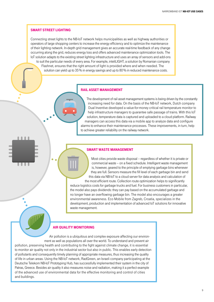### smART sTReeT lIghTINg

1111

. . . .

Connecting street lights to the NB-IoT network helps municipalities as well as highway authorities or operators of large shopping centers to increase the energy efficiency and to optimize the maintenance of their lighting network. In-depth grid management gives an accurate real-time feedback of any change occurring along the grid, reduces energy loss and offers advanced maintenance optimization tools. The IoT solution adapts to the existing street lighting infrastructure and uses an array of sensors and add-ons to suit the particular needs of every area. For example, inteliLIGHT, a solution by Romanian company Flashnet, ensures that the right amount of light is provided where and when needed. The solution can yield up to 35 % in energy savings and up to 80 % in reduced maintenance costs.

### RAIl AsseT mANAgemeNT

The development of rail asset management systems is being driven by the constantly increasing need for data. On the basis of the NB-IoT network, Dutch company Dual Inventive developed a value-for-money critical rail temperature monitor to help infrastructure managers to guarantee safe passage of trains. With this IoT solution, temperature data is captured and uploaded to a cloud platform. Railway managers can access this data via a mobile app to analyze data and configure alarms to enhance their maintenance processes. These improvements, in turn, help to achieve greater reliability on the railway network.

### smART WAsTe mANAgemeNT

Most cities provide waste disposal – regardless of whether it is private or commercial waste – on a fixed schedule. Intelligent waste management is, however, geared to the principle of emptying garbage bins whenever they are full. Sensors measure the fill level of each garbage bin and send this data via NB-IoT to a cloud server for data analysis and calculation of

the most efficient route. Collection route optimization helps to significantly reduce logistics costs for garbage trucks and fuel. For business customers in particular, the model also pays dividends: they can pay based on the accumulated garbage and no longer have an overflowing garbage bin. The model also encourages a greater environmental awareness. Eco Mobile from Zagreb, Croatia, specializes in the development, production and implementation of advanced IoT solutions for innovative waste management.

### **AIR QUALITY MONITORING**

Air pollution is a ubiquitous and complex exposure affecting our environment as well as populations all over the world. To understand and prevent air pollution, preserving health and contributing to the fight against climate change, it is essential to monitor air quality not only in the industrial sector but also in public. This enables early detection of pollutants and consequently timely planning of appropriate measures, thus increasing the quality of life in urban areas. Using the NB-IoT network, RadGreen, an Israeli company participating at the Deutsche Telekom NB-IoT Prototyping Hub, has successfully implemented their system in the city of Patras, Greece. Besides air quality it also measures noise and radiation, making it a perfect example of the advanced use of environmental data for the effective monitoring and control of cities and buildings.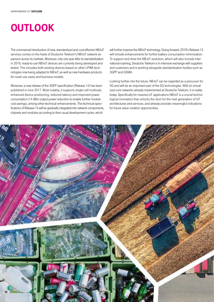## **OUTLOOK**

The commercial introduction of new, standardized and cost-effective NB-IoT services comes on the heels of Deutsche Telekom's NB-IoT network expansion across its markets. Moreover, only one year after its standardization in 2016, ready-to-use NB-IoT devices are currently being developed and tested. This includes both existing devices based on other LPWA technologies now being adapted to NB-IoT, as well as new hardware products for novel use cases and business models.

Moreover, a new release of the 3GPP specification (Release 14) has been published in June 2017. Most notably, it supports single-cell multicast, enhanced device positioning, reduced latency and improved power consumption (14 dBm output power reduction to enable further module cost savings), among other technical enhancements. The technical specifications of Release 14 will be gradually integrated into network components, chipsets and modules according to their usual development cycles, which

will further improve the NB-IoT technology. Going forward, 2018's Release 15 will include enhancements for further battery consumption minimization. To support and drive the NB-IoT evolution, which will also include international roaming, Deutsche Telekom is in intensive exchange with suppliers and customers and is working alongside standardization bodies such as 3GPP and GSMA.

Looking further into the future, NB-IoT can be regarded as a precursor for 5G and will be an important part of the 5G technologies. With its virtualized core networks already implemented at Deutsche Telekom, it is reality today. Specifically for massive IoT applications NB-IoT is a crucial technological innovation that unlocks the door for the next generation of IoT architectures and services, and already provides meaningful indications for future value creation opportunities.

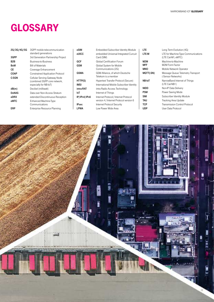## **GLOSSARY**

| 2G/3G/4G/5G      | 3GPP mobile telecommunication      | eSIM         | Embedded Subscriber Identity Module      | LTE.        | Long Term Evolution (4G)             |
|------------------|------------------------------------|--------------|------------------------------------------|-------------|--------------------------------------|
|                  | standard generations               | eUICC        | embedded Universal Integrated Curcuit    | LTE-M       | LTE for Machine-Type Communications  |
| 3GPP             | 3rd Generation Partnership Project |              | Card (SIM)                               |             | (LTE Cat-M1, eMTC)                   |
| B <sub>2</sub> B | Business-to-Business               | <b>GCF</b>   | Global Certification Forum               | M2M         | Machine-to-Machine                   |
| <b>BoM</b>       | <b>Bill of Materials</b>           | <b>GSM</b>   | Global System for Mobile                 | <b>MFF</b>  | M <sub>2</sub> M Form Factor         |
| СE               | Coverage Enhancement               |              | Communications (2G)                      | <b>MNO</b>  | Mobile Network Operator              |
| <b>COAP</b>      | Constrained Application Protocol   | <b>GSMA</b>  | GSM Alliance, of which Deutsche          | MQTT(-SN)   | Message Queue Telemetry Transport    |
| C-SGN            | Cellular Serving Gateway Node      |              | Telekom is a member                      |             | (-Sensor Networks)                   |
|                  | (combined 3GPP core network,       | HTTP(S)      | Hypertext Transfer Protocol (Secure)     | NB-IoT      | NarrowBand Internet of Things        |
|                  | especially for NB-IoT)             | <b>IMSI</b>  | International Mobile Subscriber Identity |             | (LTE Cat-NB1)                        |
| dB(m)            | Decibel (milliwatt)                | intra-RAT    | intra Radio Access Technology            | <b>NIDD</b> | Non-IP Data Delivery                 |
| <b>DoNAS</b>     | Data over Non-Access Stratum       | loT          | Internet of Things                       | <b>PSM</b>  | Power Saving Mode                    |
| eDRX             | extended Discontinuous Reception   | IP/IPv4/IPv6 | Internet Protocol / Internet Protocol    | <b>SIM</b>  | Subscriber Identity Module           |
| eMTC             | Enhanced Machine-Type              |              | version 4 / Internet Protocol version 6  | <b>TAU</b>  | Tracking Area Update                 |
|                  | Communications                     | <b>IPsec</b> | Internet Protocol Security               | <b>TCP</b>  | <b>Transmission Control Protocol</b> |
| <b>ERP</b>       | Enterprise Resource Planning       | LPWA         | Low Power Wide Area                      | <b>UDP</b>  | User Data Protocol                   |